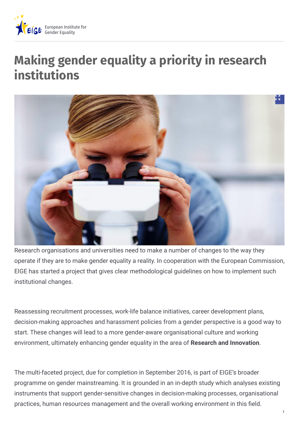

## **Making gender equality a priority in research institutions**



Research organisations and universities need to make a number of changes to the way they operate if they are to make gender equality a reality. In cooperation with the European Commission, EIGE has started a project that gives clear methodological guidelines on how to implement such institutional changes.

Reassessing recruitment processes, work-life balance initiatives, career development plans, decision-making approaches and harassment policies from a gender perspective is a good way to start. These changes will lead to a more gender-aware organisational culture and working environment, ultimately enhancing gender equality in the area of **Research and Innovation**.

The multi-faceted project, due for completion in September 2016, is part of EIGE's broader programme on gender mainstreaming. It is grounded in an in-depth study which analyses existing instruments that support gender-sensitive changes in decision-making processes, organisational practices, human resources management and the overall working environment in this field.